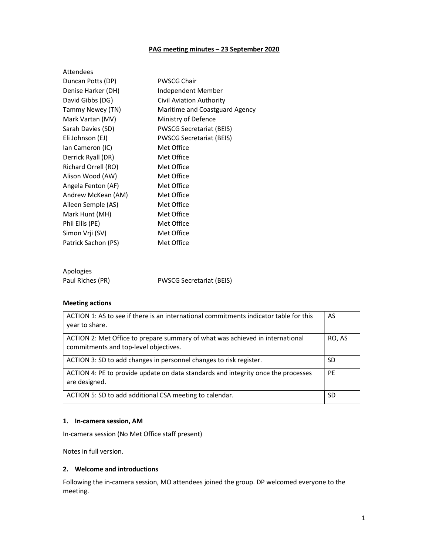## PAG meeting minutes – 23 September 2020

| Attendees           |                                 |
|---------------------|---------------------------------|
| Duncan Potts (DP)   | <b>PWSCG Chair</b>              |
| Denise Harker (DH)  | Independent Member              |
| David Gibbs (DG)    | <b>Civil Aviation Authority</b> |
| Tammy Newey (TN)    | Maritime and Coastguard Agency  |
| Mark Vartan (MV)    | Ministry of Defence             |
| Sarah Davies (SD)   | <b>PWSCG Secretariat (BEIS)</b> |
| Eli Johnson (EJ)    | <b>PWSCG Secretariat (BEIS)</b> |
| lan Cameron (IC)    | Met Office                      |
| Derrick Ryall (DR)  | Met Office                      |
| Richard Orrell (RO) | Met Office                      |
| Alison Wood (AW)    | Met Office                      |
| Angela Fenton (AF)  | Met Office                      |
| Andrew McKean (AM)  | Met Office                      |
| Aileen Semple (AS)  | Met Office                      |
| Mark Hunt (MH)      | Met Office                      |
| Phil Ellis (PE)     | Met Office                      |
| Simon Vrji (SV)     | Met Office                      |
| Patrick Sachon (PS) | Met Office                      |
|                     |                                 |
| Apologies           |                                 |
| Paul Riches (PR)    | <b>PWSCG Secretariat (BEIS)</b> |

## Meeting actions

| ACTION 1: AS to see if there is an international commitments indicator table for this<br>year to share.                | AS     |
|------------------------------------------------------------------------------------------------------------------------|--------|
| ACTION 2: Met Office to prepare summary of what was achieved in international<br>commitments and top-level objectives. | RO, AS |
| ACTION 3: SD to add changes in personnel changes to risk register.                                                     | SD     |
| ACTION 4: PE to provide update on data standards and integrity once the processes<br>are designed.                     |        |
| ACTION 5: SD to add additional CSA meeting to calendar.                                                                |        |

## 1. In-camera session, AM

In-camera session (No Met Office staff present)

Notes in full version.

### 2. Welcome and introductions

Following the in-camera session, MO attendees joined the group. DP welcomed everyone to the meeting.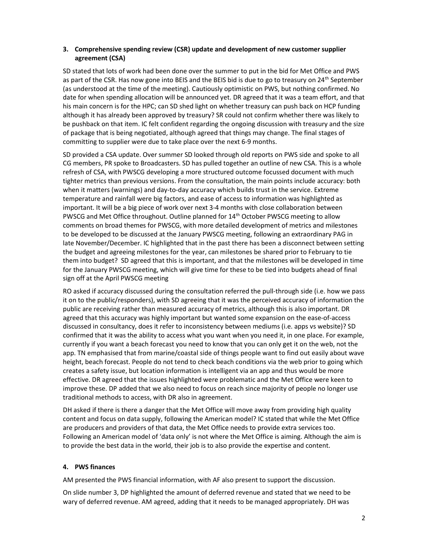## 3. Comprehensive spending review (CSR) update and development of new customer supplier agreement (CSA)

SD stated that lots of work had been done over the summer to put in the bid for Met Office and PWS as part of the CSR. Has now gone into BEIS and the BEIS bid is due to go to treasury on  $24^{th}$  September (as understood at the time of the meeting). Cautiously optimistic on PWS, but nothing confirmed. No date for when spending allocation will be announced yet. DR agreed that it was a team effort, and that his main concern is for the HPC; can SD shed light on whether treasury can push back on HCP funding although it has already been approved by treasury? SR could not confirm whether there was likely to be pushback on that item. IC felt confident regarding the ongoing discussion with treasury and the size of package that is being negotiated, although agreed that things may change. The final stages of committing to supplier were due to take place over the next 6-9 months.

SD provided a CSA update. Over summer SD looked through old reports on PWS side and spoke to all CG members, PR spoke to Broadcasters. SD has pulled together an outline of new CSA. This is a whole refresh of CSA, with PWSCG developing a more structured outcome focussed document with much tighter metrics than previous versions. From the consultation, the main points include accuracy: both when it matters (warnings) and day-to-day accuracy which builds trust in the service. Extreme temperature and rainfall were big factors, and ease of access to information was highlighted as important. It will be a big piece of work over next 3-4 months with close collaboration between PWSCG and Met Office throughout. Outline planned for 14<sup>th</sup> October PWSCG meeting to allow comments on broad themes for PWSCG, with more detailed development of metrics and milestones to be developed to be discussed at the January PWSCG meeting, following an extraordinary PAG in late November/December. IC highlighted that in the past there has been a disconnect between setting the budget and agreeing milestones for the year, can milestones be shared prior to February to tie them into budget? SD agreed that this is important, and that the milestones will be developed in time for the January PWSCG meeting, which will give time for these to be tied into budgets ahead of final sign off at the April PWSCG meeting

RO asked if accuracy discussed during the consultation referred the pull-through side (i.e. how we pass it on to the public/responders), with SD agreeing that it was the perceived accuracy of information the public are receiving rather than measured accuracy of metrics, although this is also important. DR agreed that this accuracy was highly important but wanted some expansion on the ease-of-access discussed in consultancy, does it refer to inconsistency between mediums (i.e. apps vs website)? SD confirmed that it was the ability to access what you want when you need it, in one place. For example, currently if you want a beach forecast you need to know that you can only get it on the web, not the app. TN emphasised that from marine/coastal side of things people want to find out easily about wave height, beach forecast. People do not tend to check beach conditions via the web prior to going which creates a safety issue, but location information is intelligent via an app and thus would be more effective. DR agreed that the issues highlighted were problematic and the Met Office were keen to improve these. DP added that we also need to focus on reach since majority of people no longer use traditional methods to access, with DR also in agreement.

DH asked if there is there a danger that the Met Office will move away from providing high quality content and focus on data supply, following the American model? IC stated that while the Met Office are producers and providers of that data, the Met Office needs to provide extra services too. Following an American model of 'data only' is not where the Met Office is aiming. Although the aim is to provide the best data in the world, their job is to also provide the expertise and content.

### 4. PWS finances

AM presented the PWS financial information, with AF also present to support the discussion.

On slide number 3, DP highlighted the amount of deferred revenue and stated that we need to be wary of deferred revenue. AM agreed, adding that it needs to be managed appropriately. DH was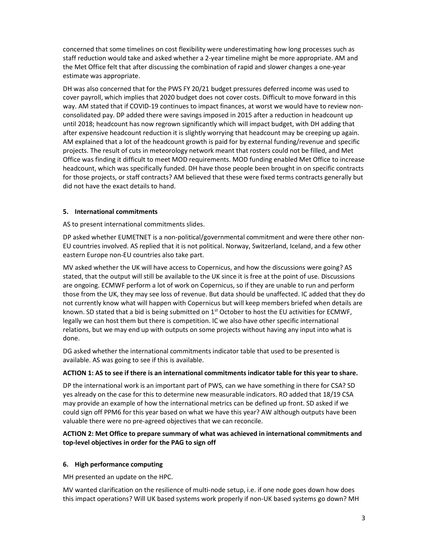concerned that some timelines on cost flexibility were underestimating how long processes such as staff reduction would take and asked whether a 2-year timeline might be more appropriate. AM and the Met Office felt that after discussing the combination of rapid and slower changes a one-year estimate was appropriate.

DH was also concerned that for the PWS FY 20/21 budget pressures deferred income was used to cover payroll, which implies that 2020 budget does not cover costs. Difficult to move forward in this way. AM stated that if COVID-19 continues to impact finances, at worst we would have to review nonconsolidated pay. DP added there were savings imposed in 2015 after a reduction in headcount up until 2018; headcount has now regrown significantly which will impact budget, with DH adding that after expensive headcount reduction it is slightly worrying that headcount may be creeping up again. AM explained that a lot of the headcount growth is paid for by external funding/revenue and specific projects. The result of cuts in meteorology network meant that rosters could not be filled, and Met Office was finding it difficult to meet MOD requirements. MOD funding enabled Met Office to increase headcount, which was specifically funded. DH have those people been brought in on specific contracts for those projects, or staff contracts? AM believed that these were fixed terms contracts generally but did not have the exact details to hand.

## 5. International commitments

AS to present international commitments slides.

DP asked whether EUMETNET is a non-political/governmental commitment and were there other non-EU countries involved. AS replied that it is not political. Norway, Switzerland, Iceland, and a few other eastern Europe non-EU countries also take part.

MV asked whether the UK will have access to Copernicus, and how the discussions were going? AS stated, that the output will still be available to the UK since it is free at the point of use. Discussions are ongoing. ECMWF perform a lot of work on Copernicus, so if they are unable to run and perform those from the UK, they may see loss of revenue. But data should be unaffected. IC added that they do not currently know what will happen with Copernicus but will keep members briefed when details are known. SD stated that a bid is being submitted on  $1<sup>st</sup>$  October to host the EU activities for ECMWF, legally we can host them but there is competition. IC we also have other specific international relations, but we may end up with outputs on some projects without having any input into what is done.

DG asked whether the international commitments indicator table that used to be presented is available. AS was going to see if this is available.

### ACTION 1: AS to see if there is an international commitments indicator table for this year to share.

DP the international work is an important part of PWS, can we have something in there for CSA? SD yes already on the case for this to determine new measurable indicators. RO added that 18/19 CSA may provide an example of how the international metrics can be defined up front. SD asked if we could sign off PPM6 for this year based on what we have this year? AW although outputs have been valuable there were no pre-agreed objectives that we can reconcile.

# ACTION 2: Met Office to prepare summary of what was achieved in international commitments and top-level objectives in order for the PAG to sign off

# 6. High performance computing

MH presented an update on the HPC.

MV wanted clarification on the resilience of multi-node setup, i.e. if one node goes down how does this impact operations? Will UK based systems work properly if non-UK based systems go down? MH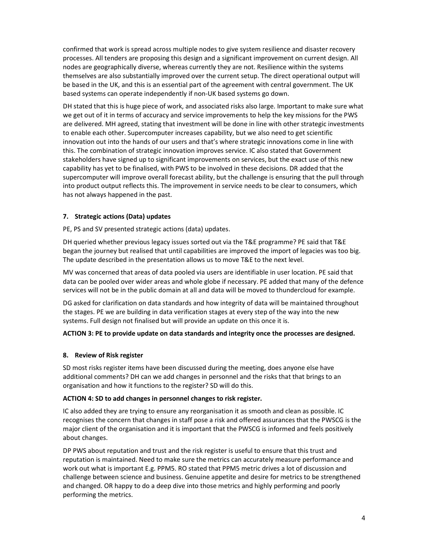confirmed that work is spread across multiple nodes to give system resilience and disaster recovery processes. All tenders are proposing this design and a significant improvement on current design. All nodes are geographically diverse, whereas currently they are not. Resilience within the systems themselves are also substantially improved over the current setup. The direct operational output will be based in the UK, and this is an essential part of the agreement with central government. The UK based systems can operate independently if non-UK based systems go down.

DH stated that this is huge piece of work, and associated risks also large. Important to make sure what we get out of it in terms of accuracy and service improvements to help the key missions for the PWS are delivered. MH agreed, stating that investment will be done in line with other strategic investments to enable each other. Supercomputer increases capability, but we also need to get scientific innovation out into the hands of our users and that's where strategic innovations come in line with this. The combination of strategic innovation improves service. IC also stated that Government stakeholders have signed up to significant improvements on services, but the exact use of this new capability has yet to be finalised, with PWS to be involved in these decisions. DR added that the supercomputer will improve overall forecast ability, but the challenge is ensuring that the pull through into product output reflects this. The improvement in service needs to be clear to consumers, which has not always happened in the past.

## 7. Strategic actions (Data) updates

PE, PS and SV presented strategic actions (data) updates.

DH queried whether previous legacy issues sorted out via the T&E programme? PE said that T&E began the journey but realised that until capabilities are improved the import of legacies was too big. The update described in the presentation allows us to move T&E to the next level.

MV was concerned that areas of data pooled via users are identifiable in user location. PE said that data can be pooled over wider areas and whole globe if necessary. PE added that many of the defence services will not be in the public domain at all and data will be moved to thundercloud for example.

DG asked for clarification on data standards and how integrity of data will be maintained throughout the stages. PE we are building in data verification stages at every step of the way into the new systems. Full design not finalised but will provide an update on this once it is.

### ACTION 3: PE to provide update on data standards and integrity once the processes are designed.

### 8. Review of Risk register

SD most risks register items have been discussed during the meeting, does anyone else have additional comments? DH can we add changes in personnel and the risks that that brings to an organisation and how it functions to the register? SD will do this.

### ACTION 4: SD to add changes in personnel changes to risk register.

IC also added they are trying to ensure any reorganisation it as smooth and clean as possible. IC recognises the concern that changes in staff pose a risk and offered assurances that the PWSCG is the major client of the organisation and it is important that the PWSCG is informed and feels positively about changes.

DP PWS about reputation and trust and the risk register is useful to ensure that this trust and reputation is maintained. Need to make sure the metrics can accurately measure performance and work out what is important E.g. PPM5. RO stated that PPM5 metric drives a lot of discussion and challenge between science and business. Genuine appetite and desire for metrics to be strengthened and changed. OR happy to do a deep dive into those metrics and highly performing and poorly performing the metrics.